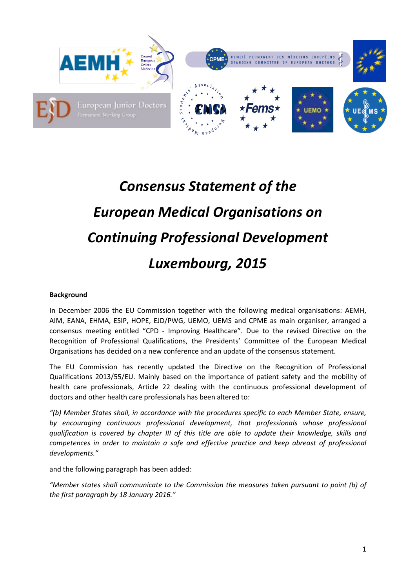

## *Consensus Statement of the European Medical Organisations on Continuing Professional Development Luxembourg, 2015*

## **Background**

In December 2006 the EU Commission together with the following medical organisations: AEMH, AIM, EANA, EHMA, ESIP, HOPE, EJD/PWG, UEMO, UEMS and CPME as main organiser, arranged a consensus meeting entitled "CPD - Improving Healthcare". Due to the revised Directive on the Recognition of Professional Qualifications, the Presidents' Committee of the European Medical Organisations has decided on a new conference and an update of the consensus statement.

The EU Commission has recently updated the Directive on the Recognition of Professional Qualifications 2013/55/EU. Mainly based on the importance of patient safety and the mobility of health care professionals, Article 22 dealing with the continuous professional development of doctors and other health care professionals has been altered to:

*"(b) Member States shall, in accordance with the procedures specific to each Member State, ensure, by encouraging continuous professional development, that professionals whose professional qualification is covered by chapter III of this title are able to update their knowledge, skills and competences in order to maintain a safe and effective practice and keep abreast of professional developments."*

and the following paragraph has been added:

*"Member states shall communicate to the Commission the measures taken pursuant to point (b) of the first paragraph by 18 January 2016."*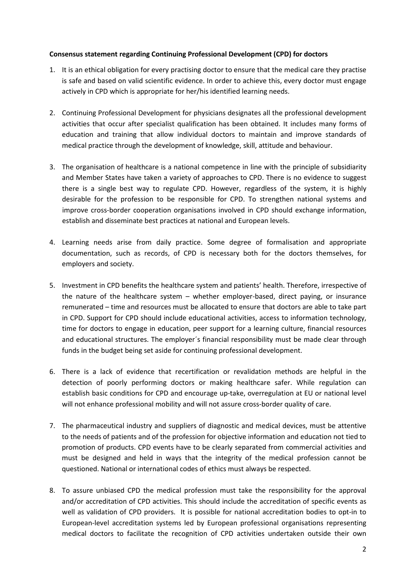## **Consensus statement regarding Continuing Professional Development (CPD) for doctors**

- 1. It is an ethical obligation for every practising doctor to ensure that the medical care they practise is safe and based on valid scientific evidence. In order to achieve this, every doctor must engage actively in CPD which is appropriate for her/his identified learning needs.
- 2. Continuing Professional Development for physicians designates all the professional development activities that occur after specialist qualification has been obtained. It includes many forms of education and training that allow individual doctors to maintain and improve standards of medical practice through the development of knowledge, skill, attitude and behaviour.
- 3. The organisation of healthcare is a national competence in line with the principle of subsidiarity and Member States have taken a variety of approaches to CPD. There is no evidence to suggest there is a single best way to regulate CPD. However, regardless of the system, it is highly desirable for the profession to be responsible for CPD. To strengthen national systems and improve cross-border cooperation organisations involved in CPD should exchange information, establish and disseminate best practices at national and European levels.
- 4. Learning needs arise from daily practice. Some degree of formalisation and appropriate documentation, such as records, of CPD is necessary both for the doctors themselves, for employers and society.
- 5. Investment in CPD benefits the healthcare system and patients' health. Therefore, irrespective of the nature of the healthcare system – whether employer-based, direct paying, or insurance remunerated – time and resources must be allocated to ensure that doctors are able to take part in CPD. Support for CPD should include educational activities, access to information technology, time for doctors to engage in education, peer support for a learning culture, financial resources and educational structures. The employer´s financial responsibility must be made clear through funds in the budget being set aside for continuing professional development.
- 6. There is a lack of evidence that recertification or revalidation methods are helpful in the detection of poorly performing doctors or making healthcare safer. While regulation can establish basic conditions for CPD and encourage up-take, overregulation at EU or national level will not enhance professional mobility and will not assure cross-border quality of care.
- 7. The pharmaceutical industry and suppliers of diagnostic and medical devices, must be attentive to the needs of patients and of the profession for objective information and education not tied to promotion of products. CPD events have to be clearly separated from commercial activities and must be designed and held in ways that the integrity of the medical profession cannot be questioned. National or international codes of ethics must always be respected.
- 8. To assure unbiased CPD the medical profession must take the responsibility for the approval and/or accreditation of CPD activities. This should include the accreditation of specific events as well as validation of CPD providers. It is possible for national accreditation bodies to opt-in to European-level accreditation systems led by European professional organisations representing medical doctors to facilitate the recognition of CPD activities undertaken outside their own